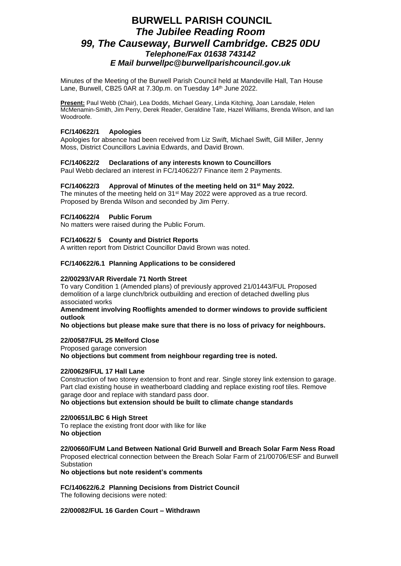# **BURWELL PARISH COUNCIL** *The Jubilee Reading Room 99, The Causeway, Burwell Cambridge. CB25 0DU Telephone/Fax 01638 743142 E Mail burwellpc@burwellparishcouncil.gov.uk*

Minutes of the Meeting of the Burwell Parish Council held at Mandeville Hall, Tan House Lane, Burwell, CB25 0AR at 7.30p.m. on Tuesday 14<sup>th</sup> June 2022.

**Present:** Paul Webb (Chair), Lea Dodds, Michael Geary, Linda Kitching, Joan Lansdale, Helen McMenamin-Smith, Jim Perry, Derek Reader, Geraldine Tate, Hazel Williams, Brenda Wilson, and Ian Woodroofe.

# **FC/140622/1 Apologies**

Apologies for absence had been received from Liz Swift, Michael Swift, Gill Miller, Jenny Moss, District Councillors Lavinia Edwards, and David Brown.

## **FC/140622/2 Declarations of any interests known to Councillors**

Paul Webb declared an interest in FC/140622/7 Finance item 2 Payments.

## **FC/140622/3 Approval of Minutes of the meeting held on 31st May 2022.**

The minutes of the meeting held on  $31<sup>st</sup>$  May 2022 were approved as a true record. Proposed by Brenda Wilson and seconded by Jim Perry.

## **FC/140622/4 Public Forum**

No matters were raised during the Public Forum.

## **FC/140622/ 5 County and District Reports**

A written report from District Councillor David Brown was noted.

#### **FC/140622/6.1 Planning Applications to be considered**

## **22/00293/VAR Riverdale 71 North Street**

To vary Condition 1 (Amended plans) of previously approved 21/01443/FUL Proposed demolition of a large clunch/brick outbuilding and erection of detached dwelling plus associated works

**Amendment involving Rooflights amended to dormer windows to provide sufficient outlook**

**No objections but please make sure that there is no loss of privacy for neighbours.**

## **22/00587/FUL 25 Melford Close**

Proposed garage conversion

**No objections but comment from neighbour regarding tree is noted.**

#### **22/00629/FUL 17 Hall Lane**

Construction of two storey extension to front and rear. Single storey link extension to garage. Part clad existing house in weatherboard cladding and replace existing roof tiles. Remove garage door and replace with standard pass door.

**No objections but extension should be built to climate change standards**

## **22/00651/LBC 6 High Street**

To replace the existing front door with like for like **No objection**

**22/00660/FUM Land Between National Grid Burwell and Breach Solar Farm Ness Road**

Proposed electrical connection between the Breach Solar Farm of 21/00706/ESF and Burwell **Substation** 

**No objections but note resident's comments**

**FC/140622/6.2 Planning Decisions from District Council** The following decisions were noted:

# **22/00082/FUL 16 Garden Court – Withdrawn**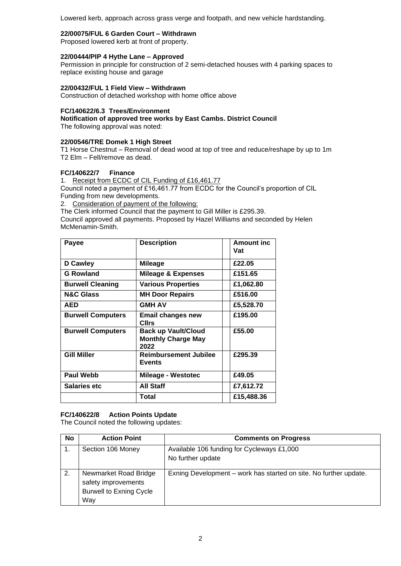Lowered kerb, approach across grass verge and footpath, and new vehicle hardstanding.

# **22/00075/FUL 6 Garden Court – Withdrawn**

Proposed lowered kerb at front of property.

# **22/00444/PIP 4 Hythe Lane – Approved**

Permission in principle for construction of 2 semi-detached houses with 4 parking spaces to replace existing house and garage

# **22/00432/FUL 1 Field View – Withdrawn**

Construction of detached workshop with home office above

# **FC/140622/6.3 Trees/Environment**

**Notification of approved tree works by East Cambs. District Council**

The following approval was noted:

## **22/00546/TRE Domek 1 High Street**

T1 Horse Chestnut – Removal of dead wood at top of tree and reduce/reshape by up to 1m T2 Elm – Fell/remove as dead.

# **FC/140622/7 Finance**

1. Receipt from ECDC of CIL Funding of £16,461.77

Council noted a payment of £16,461.77 from ECDC for the Council's proportion of CIL Funding from new developments.

2. Consideration of payment of the following:

The Clerk informed Council that the payment to Gill Miller is £295.39.

Council approved all payments. Proposed by Hazel Williams and seconded by Helen McMenamin-Smith.

| Payee                    | <b>Description</b>                                              | <b>Amount inc</b><br>Vat |
|--------------------------|-----------------------------------------------------------------|--------------------------|
| <b>D</b> Cawley          | Mileage                                                         | £22.05                   |
| <b>G Rowland</b>         | Mileage & Expenses                                              | £151.65                  |
| <b>Burwell Cleaning</b>  | Various Properties                                              | £1,062.80                |
| <b>N&amp;C Glass</b>     | <b>MH Door Repairs</b>                                          | £516.00                  |
| <b>AED</b>               | <b>GMH AV</b>                                                   | £5,528.70                |
| <b>Burwell Computers</b> | Email changes new<br>Cllrs                                      | £195.00                  |
| <b>Burwell Computers</b> | <b>Back up Vault/Cloud</b><br><b>Monthly Charge May</b><br>2022 | £55.00                   |
| <b>Gill Miller</b>       | <b>Reimbursement Jubilee</b><br><b>Events</b>                   | £295.39                  |
| <b>Paul Webb</b>         | <b>Mileage - Westotec</b>                                       | £49.05                   |
| <b>Salaries etc</b>      | <b>All Staff</b>                                                | £7,612.72                |
|                          | Total                                                           | £15,488.36               |

# **FC/140622/8 Action Points Update**

The Council noted the following updates:

| No             | <b>Action Point</b>                                                                   | <b>Comments on Progress</b>                                       |
|----------------|---------------------------------------------------------------------------------------|-------------------------------------------------------------------|
| $\mathbf{1}$ . | Section 106 Money                                                                     | Available 106 funding for Cycleways £1,000<br>No further update   |
| 2.             | Newmarket Road Bridge<br>safety improvements<br><b>Burwell to Exning Cycle</b><br>Way | Exning Development – work has started on site. No further update. |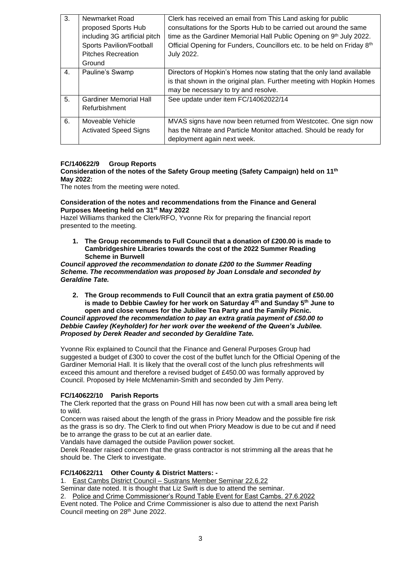| 3.             | Newmarket Road<br>proposed Sports Hub<br>including 3G artificial pitch<br>Sports Pavilion/Football<br><b>Pitches Recreation</b> | Clerk has received an email from This Land asking for public<br>consultations for the Sports Hub to be carried out around the same<br>time as the Gardiner Memorial Hall Public Opening on 9th July 2022.<br>Official Opening for Funders, Councillors etc. to be held on Friday 8th<br>July 2022. |
|----------------|---------------------------------------------------------------------------------------------------------------------------------|----------------------------------------------------------------------------------------------------------------------------------------------------------------------------------------------------------------------------------------------------------------------------------------------------|
|                | Ground                                                                                                                          |                                                                                                                                                                                                                                                                                                    |
| $\mathbf{4}$ . | Pauline's Swamp                                                                                                                 | Directors of Hopkin's Homes now stating that the only land available<br>is that shown in the original plan. Further meeting with Hopkin Homes<br>may be necessary to try and resolve.                                                                                                              |
| 5.             | <b>Gardiner Memorial Hall</b><br>Refurbishment                                                                                  | See update under item FC/14062022/14                                                                                                                                                                                                                                                               |
| 6.             | Moveable Vehicle<br><b>Activated Speed Signs</b>                                                                                | MVAS signs have now been returned from Westcotec. One sign now<br>has the Nitrate and Particle Monitor attached. Should be ready for<br>deployment again next week.                                                                                                                                |

# **FC/140622/9 Group Reports**

**Consideration of the notes of the Safety Group meeting (Safety Campaign) held on 11th May 2022:**

The notes from the meeting were noted.

## **Consideration of the notes and recommendations from the Finance and General Purposes Meeting held on 31st May 2022**

Hazel Williams thanked the Clerk/RFO, Yvonne Rix for preparing the financial report presented to the meeting.

**1. The Group recommends to Full Council that a donation of £200.00 is made to Cambridgeshire Libraries towards the cost of the 2022 Summer Reading Scheme in Burwell**

## *Council approved the recommendation to donate £200 to the Summer Reading Scheme. The recommendation was proposed by Joan Lonsdale and seconded by Geraldine Tate.*

**2. The Group recommends to Full Council that an extra gratia payment of £50.00 is made to Debbie Cawley for her work on Saturday 4th and Sunday 5th June to open and close venues for the Jubilee Tea Party and the Family Picnic.**

*Council approved the recommendation to pay an extra gratia payment of £50.00 to Debbie Cawley (Keyholder) for her work over the weekend of the Queen's Jubilee. Proposed by Derek Reader and seconded by Geraldine Tate.*

Yvonne Rix explained to Council that the Finance and General Purposes Group had suggested a budget of £300 to cover the cost of the buffet lunch for the Official Opening of the Gardiner Memorial Hall. It is likely that the overall cost of the lunch plus refreshments will exceed this amount and therefore a revised budget of £450.00 was formally approved by Council. Proposed by Hele McMenamin-Smith and seconded by Jim Perry.

# **FC/140622/10 Parish Reports**

The Clerk reported that the grass on Pound Hill has now been cut with a small area being left to wild.

Concern was raised about the length of the grass in Priory Meadow and the possible fire risk as the grass is so dry. The Clerk to find out when Priory Meadow is due to be cut and if need be to arrange the grass to be cut at an earlier date.

Vandals have damaged the outside Pavilion power socket.

Derek Reader raised concern that the grass contractor is not strimming all the areas that he should be. The Clerk to investigate.

## **FC/140622/11 Other County & District Matters: -**

1. East Cambs District Council – Sustrans Member Seminar 22.6.22

Seminar date noted. It is thought that Liz Swift is due to attend the seminar.

2. Police and Crime Commissioner's Round Table Event for East Cambs. 27.6.2022 Event noted. The Police and Crime Commissioner is also due to attend the next Parish Council meeting on 28<sup>th</sup> June 2022.